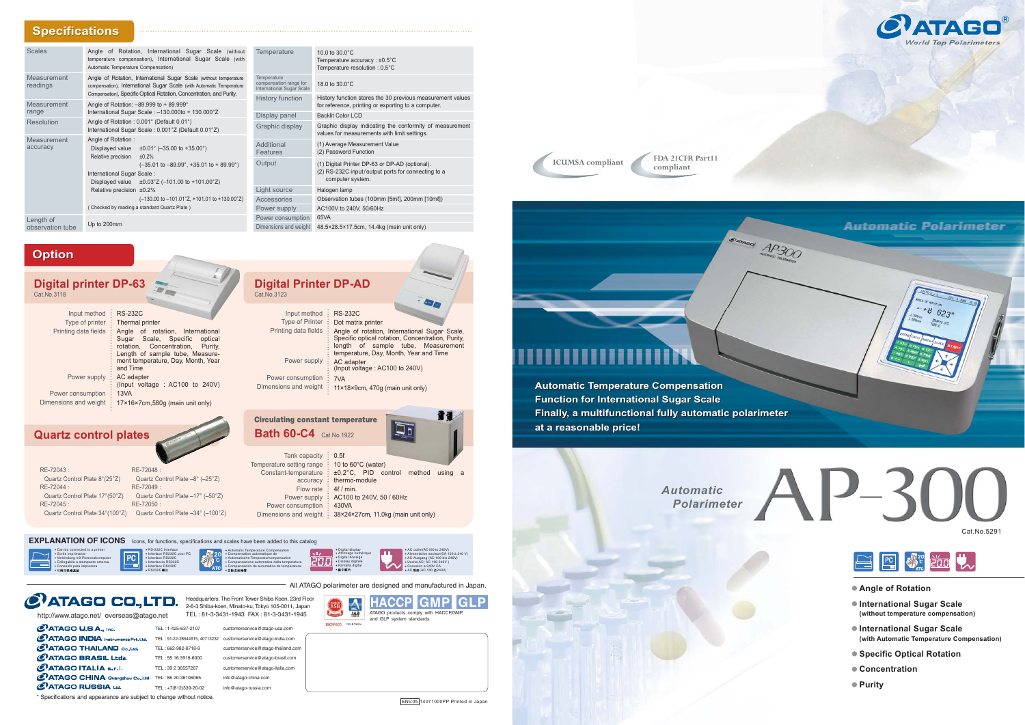



*Automatic Polarimeter*

\* Specifications and appearance are subject to change without notice.



## **Automatic Polarimeter**



**ICUMSA compliant FDA 21CFR Part11 compliant**

**Automatic Temperature Compensation Automatic Temperature Compensation Function for International Sugar Scale Function for International Sugar Scale Finally, a multifunctional fully automatic polarimeter Finally, a multifunctional fully automatic polarimeter at a reasonable price! at a reasonable price!**

- **Angle of Rotation**
- **International Superior Superior (without temperature compensation)**
- **International Superior Section** Contract Contract Contract Contract Contract Contract Contract Contract Contract Contract Contract Contract Contract Contract Contract Contract Contract Contract Contract Contract Contract **(with Automatic Temperature Compensation)**
- Specific Optical Rotation<br>● Concentration
- 
- **Purity**

#### $\overline{\mathsf{rity}},$ Input method RS-232C Type of Printer Printing data fields : Angle of rotation, International Sugar Scale, Dot matrix printer Specific optical rotation, Concentration, Purity,

|                           | : length of sample tube, Measurement<br>temperature, Day, Month, Year and Time |
|---------------------------|--------------------------------------------------------------------------------|
| Power supply : AC adapter | : (Input voltage : AC100 to 240V)                                              |
| Power consumption : 7VA   |                                                                                |
|                           | Dimensions and weight : 11×18×9cm, 470g (main unit only)                       |

**Digital Prince DP-AD**<br>Cat.No.3123

| RE-72043:                       | RE-72048:                          |
|---------------------------------|------------------------------------|
| Quartz Control Plate 8°(25°Z)   | Quartz Control Plate -8° (-25°Z)   |
| RE-72044 :                      | $RF-72049$                         |
| Quartz Control Plate 17°(50°Z)  | Quartz Control Plate -17° (-50°Z)  |
| RE-72045:                       | RE-72050:                          |
| Quartz Control Plate 34°(100°Z) | Quartz Control Plate -34° (-100°Z) |

### Tank capacity : 0.5ℓ Temperature setting range 10 to 60°C (water) Constant-temperature accuracy : thermo-module Flow rate  $\frac{1}{2}$  4 $\ell$  / min. Power supply Power consumption Dimensions and weight 38×24×27cm, 11.0kg (main unit only) ±0.2°C, PID control method using a AC100 to 240V, 50 / 60Hz 430VA **Circulating constant temperature Bath 60-C4** Cat.No.1922

| <b>Digital printer DP-63</b><br>Cat.No.3118             | $\rightarrow$                                                                                                                                                                                                                      |
|---------------------------------------------------------|------------------------------------------------------------------------------------------------------------------------------------------------------------------------------------------------------------------------------------|
| Input method<br>Type of printer<br>Printing data fields | <b>RS-232C</b><br>Thermal printer<br>Angle of rotation, International<br>Sugar Scale, Specific<br>optical<br>rotation, Concentration, Purity,<br>Length of sample tube, Measure-<br>ment temperature, Day, Month, Year<br>and Time |
| Power supply                                            | AC adapter<br>(Input voltage : AC100 to 240V)                                                                                                                                                                                      |
| Power consumption                                       | 13VA                                                                                                                                                                                                                               |
| Dimensions and weight                                   | 17×16×7cm,580g (main unit only)                                                                                                                                                                                                    |

暴 • Automatische Temperaturkompensation 200 • Interfaccia RS232C • Compensazione automatica della temperatura • Compensación de automática de temperatura •

### • Interface RS232C pour PC **EXPLANATION OF ICONS** Icons, for functions, specifications and scales have been added to this catalog

# **Quartz control plates**

## **Option**

| <b>Scales</b>                                                                                                                                                                                                                                                                                                                                                                                                                | Angle of Rotation, International Sugar Scale (without<br>temperature compensation), International Sugar Scale (with<br>Automatic Temperature Compensation)                                                        | Temperature                                                                                                              | 10.0 to $30.0^{\circ}$ C<br>Temperature accuracy : $±0.5^{\circ}$ C<br>Temperature resolution: 0.5°C              |
|------------------------------------------------------------------------------------------------------------------------------------------------------------------------------------------------------------------------------------------------------------------------------------------------------------------------------------------------------------------------------------------------------------------------------|-------------------------------------------------------------------------------------------------------------------------------------------------------------------------------------------------------------------|--------------------------------------------------------------------------------------------------------------------------|-------------------------------------------------------------------------------------------------------------------|
| Measurement<br>readings                                                                                                                                                                                                                                                                                                                                                                                                      | Angle of Rotation, International Sugar Scale (without temperature<br>compensation), International Sugar Scale (with Automatic Temperature<br>Compensation), Specific Optical Rotation, Concentration, and Purity. | Temperature<br>compensation range for<br><b>International Sugar Scale</b>                                                | 18.0 to $30.0^{\circ}$ C                                                                                          |
| Measurement                                                                                                                                                                                                                                                                                                                                                                                                                  | Angle of Rotation: -89.999 to + 89.999°                                                                                                                                                                           | History function                                                                                                         | History function stores the 30 previous measurement values<br>for reference, printing or exporting to a computer. |
|                                                                                                                                                                                                                                                                                                                                                                                                                              |                                                                                                                                                                                                                   | Display panel                                                                                                            | <b>Backlit Color LCD</b>                                                                                          |
|                                                                                                                                                                                                                                                                                                                                                                                                                              | International Sugar Scale: 0.001°Z (Default 0.01°Z)                                                                                                                                                               | Graphic display                                                                                                          | Graphic display indicating the conformity of measurement<br>values for measurements with limit settings.          |
| Measurement<br>Angle of Rotation:<br>accuracy<br>Displayed value $\pm 0.01^{\circ}$ (-35.00 to +35.00°)<br>Relative precision<br>±0.2%<br>$(-35.01 \text{ to } -89.99^{\circ}, +35.01 \text{ to } +89.99^{\circ})$<br>International Sugar Scale:<br>Displayed value $\pm 0.03^{\circ}Z$ (-101.00 to +101.00°Z)<br>Relative precision ±0.2%<br>$(-130.00 \text{ to } -101.01^{\circ}Z, +101.01 \text{ to } +130.00^{\circ}Z)$ | Additional<br>Features                                                                                                                                                                                            | (1) Average Measurement Value<br>(2) Password Function                                                                   |                                                                                                                   |
|                                                                                                                                                                                                                                                                                                                                                                                                                              | Output                                                                                                                                                                                                            | (1) Digital Printer DP-63 or DP-AD (optional).<br>(2) RS-232C input/output ports for connecting to a<br>computer system. |                                                                                                                   |
|                                                                                                                                                                                                                                                                                                                                                                                                                              | Light source                                                                                                                                                                                                      | Halogen lamp                                                                                                             |                                                                                                                   |
|                                                                                                                                                                                                                                                                                                                                                                                                                              | Accessories                                                                                                                                                                                                       | Observation tubes (100mm [5ml], 200mm [10ml])                                                                            |                                                                                                                   |
|                                                                                                                                                                                                                                                                                                                                                                                                                              | (Checked by reading a standard Quartz Plate)                                                                                                                                                                      | Power supply                                                                                                             | AC100V to 240V, 50/60Hz                                                                                           |
| Length of                                                                                                                                                                                                                                                                                                                                                                                                                    |                                                                                                                                                                                                                   | Power consumption                                                                                                        | 65VA                                                                                                              |
| observation tube                                                                                                                                                                                                                                                                                                                                                                                                             |                                                                                                                                                                                                                   | Dimensions and weight                                                                                                    | 48.5×28.5×17.5cm, 14.4kg (main unit only)                                                                         |
| range<br><b>Resolution</b>                                                                                                                                                                                                                                                                                                                                                                                                   | International Sugar Scale: -130.000to + 130.000°Z<br>Angle of Rotation: 0.001° (Default 0.01°)<br>Up to 200mm                                                                                                     |                                                                                                                          |                                                                                                                   |



• Automatic Temperature Compensation • Compensation automatique de

| • Can be connected to a printer<br>· Sortie imprimante<br>· Verbindung mit Personalcomputer<br>· Collegabile a stampante esterna<br>· Conexión para impresora<br>• 可與印表機連結 |  |
|----------------------------------------------------------------------------------------------------------------------------------------------------------------------------|--|
|                                                                                                                                                                            |  |

 $O$ ATAGO U.S.A., Inc.

• RS-232C Interface

• Interface RS232C

• Interface RS232C • RS232C



All ATAGO polarimeter are designed and manufactured in Japan.

| TEL: 1-425-637-2107           | customerservice@atago-usa.com      |
|-------------------------------|------------------------------------|
| TEL: 91-22-28544915, 40713232 | customerservice@atago-india.com    |
| TEL: 662-982-8718-9           | customerservice@atago-thailand.com |
| TEL: 55 16 3916-6000          | customerservice@atago-brasil.com   |
| TEL: 39 2 36557267            | customerservice@atago-italia.com   |
| TEL: 86 20-38106065           | info@atago-china.com               |
| TEL: +7(812)339-20-02         | info@atago-russia.com              |
|                               |                                    |



Headquarters: The Front Tower Shiba Koen, 23rd Floor 2-6-3 Shiba-koen, Minato-ku, Tokyo 105-0011, Japan



C<sup>7</sup>ATAGO INDIA Instruments Pvt. Ltd.  $O$ ATAGO THAILAND  $C_{\alpha}$ , Ltd. **@ATAGO BRASIL Ltda.** CATAGO ITALIA s.r.l. C<sup>7</sup>ATAGO CHINA Guangzhou Co., Ltd. CATAGO RUSSIA Ltd.